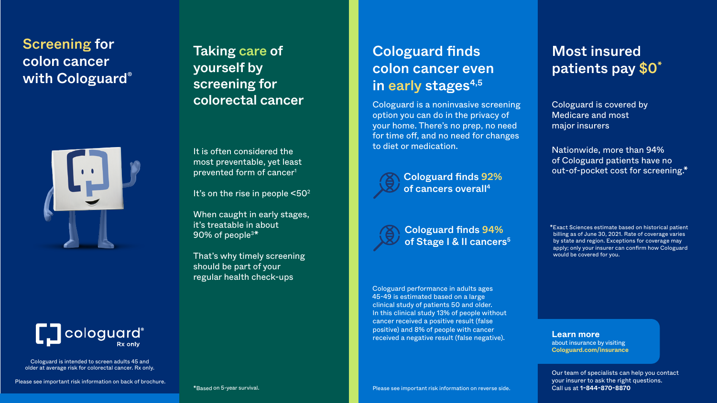Cologuard is intended to screen adults 45 and older at average risk for colorectal cancer. Rx only.

# Screening for colon cancer with Cologuard®





Please see important risk information on back of brochure.

When caught in early stages, it's treatable in about 90% of people<sup>3\*</sup>

Taking care of yourself by screening for colorectal cancer

It is often considered the most preventable, yet least prevented form of cancer1

It's on the rise in people  $\leq 50^2$ 

That's why timely screening should be part of your regular health check-ups

## Most insured patients pay \$0\*

Cologuard is covered by Medicare and most major insurers

Nationwide, more than 94% of Cologuard patients have no out-of-pocket cost for screening.\*

Cologuard finds 94% of Stage | & II cancers<sup>5</sup>

# Cologuard finds colon cancer even in early stages<sup>4,5</sup>

\*Exact Sciences estimate based on historical patient billing as of June 30, 2021. Rate of coverage varies by state and region. Exceptions for coverage may apply; only your insurer can confirm how Cologuard would be covered for you.

**Learn more** about insurance by visiting **[Cologuard.com/insurance](http://cologuard.com/insurance)**

Cologuard performance in adults ages 45-49 is estimated based on a large clinical study of patients 50 and older. In this clinical study 13% of people without cancer received a positive result (false positive) and 8% of people with cancer received a negative result (false negative).

Cologuard is a noninvasive screening option you can do in the privacy of your home. There's no prep, no need for time off, and no need for changes to diet or medication.



Cologuard finds 92% of cancers overall4

Our team of specialists can help you contact your insurer to ask the right questions. Call us at **1-844-870-8870**